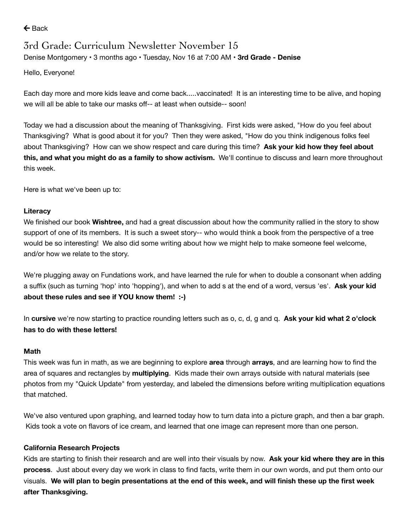$\leftarrow$  [Back](https://www.parentsquare.com/feeds/9857769)

# 3rd Grade: Curriculum Newsletter November 15

Denise [Montgomery](https://www.parentsquare.com/schools/1466/users/963516) • 3 months ago • Tuesday, Nov 16 at 7:00 AM • **3rd Grade - Denise**

Hello, Everyone!

Each day more and more kids leave and come back.....vaccinated! It is an interesting time to be alive, and hoping we will all be able to take our masks off-- at least when outside-- soon!

Today we had a discussion about the meaning of Thanksgiving. First kids were asked, "How do you feel about Thanksgiving? What is good about it for you? Then they were asked, "How do you think indigenous folks feel about Thanksgiving? How can we show respect and care during this time? **Ask your kid how they feel about this, and what you might do as a family to show activism.** We'll continue to discuss and learn more throughout this week.

Here is what we've been up to:

#### **Literacy**

We finished our book **Wishtree,** and had a great discussion about how the community rallied in the story to show support of one of its members. It is such a sweet story-- who would think a book from the perspective of a tree would be so interesting! We also did some writing about how we might help to make someone feel welcome, and/or how we relate to the story.

We're plugging away on Fundations work, and have learned the rule for when to double a consonant when adding a suffix (such as turning 'hop' into 'hopping'), and when to add s at the end of a word, versus 'es'. **Ask your kid about these rules and see if YOU know them! :-)**

In **cursive** we're now starting to practice rounding letters such as o, c, d, g and q. **Ask your kid what 2 o'clock has to do with these letters!**

#### **Math**

This week was fun in math, as we are beginning to explore **area** through **arrays**, and are learning how to find the area of squares and rectangles by **multiplying**. Kids made their own arrays outside with natural materials (see photos from my "Quick Update" from yesterday, and labeled the dimensions before writing multiplication equations that matched.

We've also ventured upon graphing, and learned today how to turn data into a picture graph, and then a bar graph. Kids took a vote on flavors of ice cream, and learned that one image can represent more than one person.

### **California Research Projects**

Kids are starting to finish their research and are well into their visuals by now. **Ask your kid where they are in this process**. Just about every day we work in class to find facts, write them in our own words, and put them onto our visuals. We will plan to begin presentations at the end of this week, and will finish these up the first week **after Thanksgiving.**